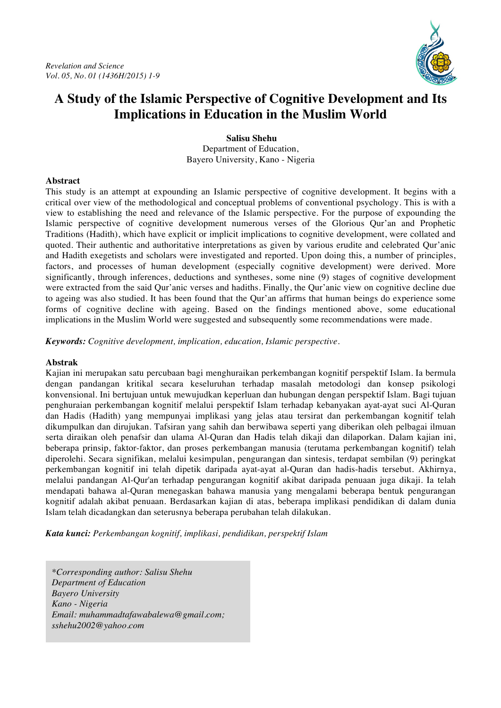

**Salisu Shehu** Department of Education, Bayero University, Kano - Nigeria

### **Abstract**

This study is an attempt at expounding an Islamic perspective of cognitive development. It begins with a critical over view of the methodological and conceptual problems of conventional psychology. This is with a view to establishing the need and relevance of the Islamic perspective. For the purpose of expounding the Islamic perspective of cognitive development numerous verses of the Glorious Qur'an and Prophetic Traditions (Hadith), which have explicit or implicit implications to cognitive development, were collated and quoted. Their authentic and authoritative interpretations as given by various erudite and celebrated Qur'anic and Hadith exegetists and scholars were investigated and reported. Upon doing this, a number of principles, factors, and processes of human development (especially cognitive development) were derived. More significantly, through inferences, deductions and syntheses, some nine (9) stages of cognitive development were extracted from the said Qur'anic verses and hadiths. Finally, the Qur'anic view on cognitive decline due to ageing was also studied. It has been found that the Qur'an affirms that human beings do experience some forms of cognitive decline with ageing. Based on the findings mentioned above, some educational implications in the Muslim World were suggested and subsequently some recommendations were made.

*Keywords: Cognitive development, implication, education, Islamic perspective.*

#### **Abstrak**

Kajian ini merupakan satu percubaan bagi menghuraikan perkembangan kognitif perspektif Islam. Ia bermula dengan pandangan kritikal secara keseluruhan terhadap masalah metodologi dan konsep psikologi konvensional. Ini bertujuan untuk mewujudkan keperluan dan hubungan dengan perspektif Islam. Bagi tujuan penghuraian perkembangan kognitif melalui perspektif Islam terhadap kebanyakan ayat-ayat suci Al-Quran dan Hadis (Hadith) yang mempunyai implikasi yang jelas atau tersirat dan perkembangan kognitif telah dikumpulkan dan dirujukan. Tafsiran yang sahih dan berwibawa seperti yang diberikan oleh pelbagai ilmuan serta diraikan oleh penafsir dan ulama Al-Quran dan Hadis telah dikaji dan dilaporkan. Dalam kajian ini, beberapa prinsip, faktor-faktor, dan proses perkembangan manusia (terutama perkembangan kognitif) telah diperolehi. Secara signifikan, melalui kesimpulan, pengurangan dan sintesis, terdapat sembilan (9) peringkat perkembangan kognitif ini telah dipetik daripada ayat-ayat al-Quran dan hadis-hadis tersebut. Akhirnya, melalui pandangan Al-Qur'an terhadap pengurangan kognitif akibat daripada penuaan juga dikaji. Ia telah mendapati bahawa al-Quran menegaskan bahawa manusia yang mengalami beberapa bentuk pengurangan kognitif adalah akibat penuaan. Berdasarkan kajian di atas, beberapa implikasi pendidikan di dalam dunia Islam telah dicadangkan dan seterusnya beberapa perubahan telah dilakukan.

*Kata kunci: Perkembangan kognitif, implikasi, pendidikan, perspektif Islam*

*\*Corresponding author: Salisu Shehu Department of Education Bayero University Kano - Nigeria Email: muhammadtafawabalewa@gmail.com; sshehu2002@yahoo.com*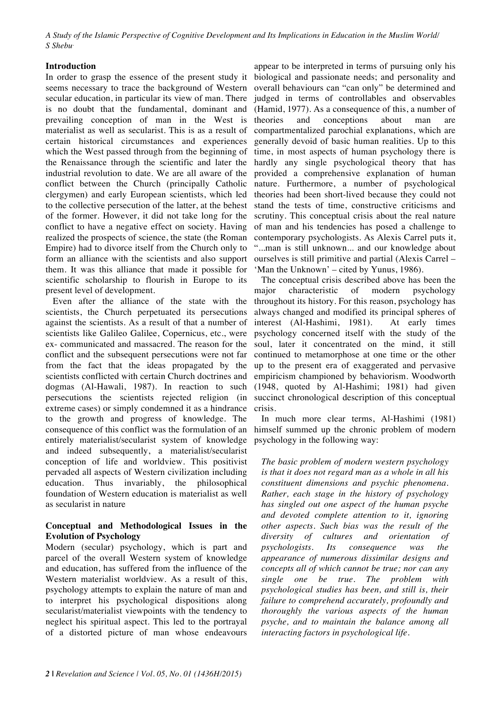### **Introduction**

In order to grasp the essence of the present study it seems necessary to trace the background of Western secular education, in particular its view of man. There is no doubt that the fundamental, dominant and prevailing conception of man in the West is materialist as well as secularist. This is as a result of certain historical circumstances and experiences which the West passed through from the beginning of the Renaissance through the scientific and later the industrial revolution to date. We are all aware of the conflict between the Church (principally Catholic clergymen) and early European scientists, which led to the collective persecution of the latter, at the behest of the former. However, it did not take long for the conflict to have a negative effect on society. Having realized the prospects of science, the state (the Roman Empire) had to divorce itself from the Church only to form an alliance with the scientists and also support them. It was this alliance that made it possible for scientific scholarship to flourish in Europe to its present level of development.

Even after the alliance of the state with the scientists, the Church perpetuated its persecutions against the scientists. As a result of that a number of scientists like Galileo Galilee, Copernicus, etc., were ex- communicated and massacred. The reason for the conflict and the subsequent persecutions were not far from the fact that the ideas propagated by the scientists conflicted with certain Church doctrines and dogmas (Al-Hawali, 1987). In reaction to such persecutions the scientists rejected religion (in extreme cases) or simply condemned it as a hindrance to the growth and progress of knowledge. The consequence of this conflict was the formulation of an entirely materialist/secularist system of knowledge and indeed subsequently, a materialist/secularist conception of life and worldview. This positivist pervaded all aspects of Western civilization including education. Thus invariably, the philosophical foundation of Western education is materialist as well as secularist in nature

### **Conceptual and Methodological Issues in the Evolution of Psychology**

Modern (secular) psychology, which is part and parcel of the overall Western system of knowledge and education, has suffered from the influence of the Western materialist worldview. As a result of this, psychology attempts to explain the nature of man and to interpret his psychological dispositions along secularist/materialist viewpoints with the tendency to neglect his spiritual aspect. This led to the portrayal of a distorted picture of man whose endeavours

appear to be interpreted in terms of pursuing only his biological and passionate needs; and personality and overall behaviours can "can only" be determined and judged in terms of controllables and observables (Hamid, 1977). As a consequence of this, a number of theories and conceptions about man are compartmentalized parochial explanations, which are generally devoid of basic human realities. Up to this time, in most aspects of human psychology there is hardly any single psychological theory that has provided a comprehensive explanation of human nature. Furthermore, a number of psychological theories had been short-lived because they could not stand the tests of time, constructive criticisms and scrutiny. This conceptual crisis about the real nature of man and his tendencies has posed a challenge to contemporary psychologists. As Alexis Carrel puts it, "...man is still unknown... and our knowledge about ourselves is still primitive and partial (Alexis Carrel – 'Man the Unknown' – cited by Yunus, 1986).

The conceptual crisis described above has been the major characteristic of modern psychology throughout its history. For this reason, psychology has always changed and modified its principal spheres of interest (Al-Hashimi, 1981). At early times psychology concerned itself with the study of the soul, later it concentrated on the mind, it still continued to metamorphose at one time or the other up to the present era of exaggerated and pervasive empiricism championed by behaviorism. Woodworth (1948, quoted by Al-Hashimi; 1981) had given succinct chronological description of this conceptual crisis.

In much more clear terms, Al-Hashimi (1981) himself summed up the chronic problem of modern psychology in the following way:

*The basic problem of modern western psychology is that it does not regard man as a whole in all his constituent dimensions and psychic phenomena. Rather, each stage in the history of psychology has singled out one aspect of the human psyche and devoted complete attention to it, ignoring other aspects. Such bias was the result of the diversity of cultures and orientation of psychologists. Its consequence was the appearance of numerous dissimilar designs and concepts all of which cannot be true; nor can any single one be true. The problem with psychological studies has been, and still is, their failure to comprehend accurately, profoundly and thoroughly the various aspects of the human psyche, and to maintain the balance among all interacting factors in psychological life.*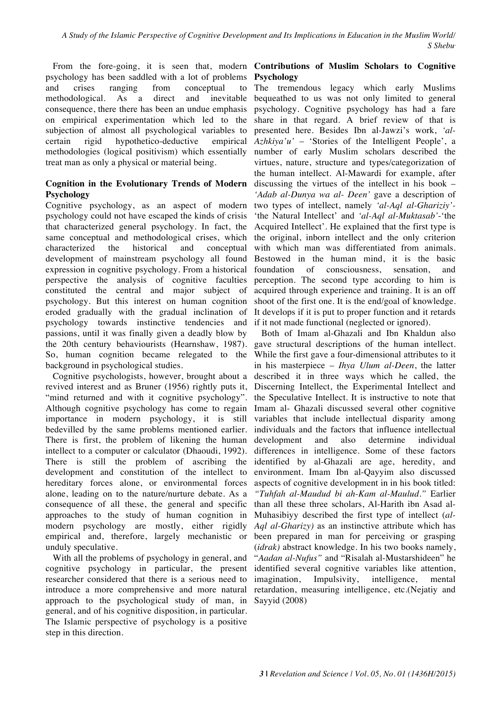psychology has been saddled with a lot of problems and crises ranging from conceptual to methodological. As a direct and inevitable consequence, there there has been an undue emphasis on empirical experimentation which led to the subjection of almost all psychological variables to certain rigid hypothetico-deductive empirical methodologies (logical positivism) which essentially treat man as only a physical or material being.

# **Cognition in the Evolutionary Trends of Modern Psychology**

Cognitive psychology, as an aspect of modern psychology could not have escaped the kinds of crisis that characterized general psychology. In fact, the same conceptual and methodological crises, which characterized the historical and conceptual development of mainstream psychology all found expression in cognitive psychology. From a historical perspective the analysis of cognitive faculties constituted the central and major subject of psychology. But this interest on human cognition eroded gradually with the gradual inclination of psychology towards instinctive tendencies and passions, until it was finally given a deadly blow by the 20th century behaviourists (Hearnshaw, 1987). So, human cognition became relegated to the background in psychological studies.

Cognitive psychologists, however, brought about a revived interest and as Bruner (1956) rightly puts it, "mind returned and with it cognitive psychology". Although cognitive psychology has come to regain importance in modern psychology, it is still bedevilled by the same problems mentioned earlier. There is first, the problem of likening the human intellect to a computer or calculator (Dhaoudi, 1992). There is still the problem of ascribing the development and constitution of the intellect to hereditary forces alone, or environmental forces alone, leading on to the nature/nurture debate. As a consequence of all these, the general and specific approaches to the study of human cognition in modern psychology are mostly, either rigidly empirical and, therefore, largely mechanistic or unduly speculative.

With all the problems of psychology in general, and cognitive psychology in particular, the present researcher considered that there is a serious need to introduce a more comprehensive and more natural approach to the psychological study of man, in Sayyid (2008)general, and of his cognitive disposition, in particular. The Islamic perspective of psychology is a positive step in this direction.

# From the fore-going, it is seen that, modern **Contributions of Muslim Scholars to Cognitive Psychology**

The tremendous legacy which early Muslims bequeathed to us was not only limited to general psychology. Cognitive psychology has had a fare share in that regard. A brief review of that is presented here. Besides Ibn al-Jawzi's work, *'al-Azhkiya'u'* – 'Stories of the Intelligent People', a number of early Muslim scholars described the virtues, nature, structure and types/categorization of the human intellect. Al-Mawardi for example, after discussing the virtues of the intellect in his book – *'Adab al-Dunya wa al- Deen'* gave a description of two types of intellect, namely *'al-Aql al-Ghariziy'-* 'the Natural Intellect' and *'al-Aql al-Muktasab'*-'the Acquired Intellect'. He explained that the first type is the original, inborn intellect and the only criterion with which man was differentiated from animals. Bestowed in the human mind, it is the basic foundation of consciousness, sensation, and perception. The second type according to him is acquired through experience and training. It is an off shoot of the first one. It is the end/goal of knowledge. It develops if it is put to proper function and it retards if it not made functional (neglected or ignored).

Both of Imam al-Ghazali and Ibn Khaldun also gave structural descriptions of the human intellect. While the first gave a four-dimensional attributes to it in his masterpiece – *Ihya Ulum al-Deen*, the latter described it in three ways which he called, the Discerning Intellect, the Experimental Intellect and the Speculative Intellect. It is instructive to note that Imam al- Ghazali discussed several other cognitive variables that include intellectual disparity among individuals and the factors that influence intellectual development and also determine individual differences in intelligence. Some of these factors identified by al-Ghazali are age, heredity, and environment. Imam Ibn al-Qayyim also discussed aspects of cognitive development in in his book titled: *"Tuhfah al-Maudud bi ah-Kam al-Maulud."* Earlier than all these three scholars, Al-Harith ibn Asad al-Muhasibiyy described the first type of intellect (*al-Aql al-Gharizy)* as an instinctive attribute which has been prepared in man for perceiving or grasping (*idrak)* abstract knowledge. In his two books namely, "*Aadan al-Nufus"* and "Risalah al-Mustarshideen" he identified several cognitive variables like attention, imagination, Impulsivity, intelligence, mental retardation, measuring intelligence, etc.(Nejatiy and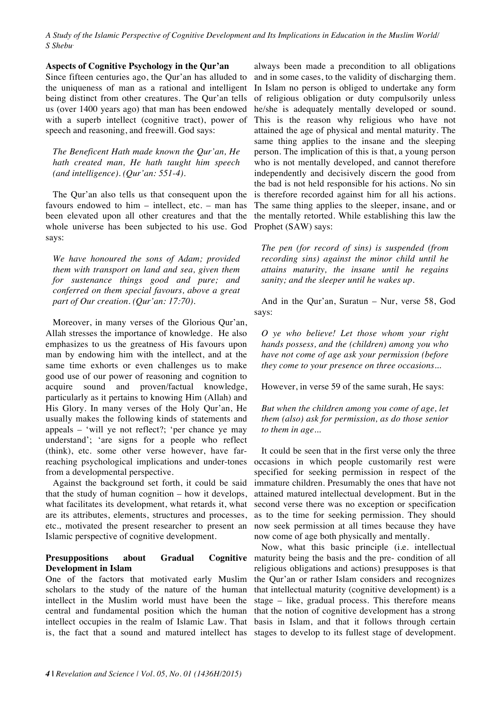#### **Aspects of Cognitive Psychology in the Qur'an**

Since fifteen centuries ago, the Qur'an has alluded to the uniqueness of man as a rational and intelligent being distinct from other creatures. The Qur'an tells us (over 1400 years ago) that man has been endowed with a superb intellect (cognitive tract), power of speech and reasoning, and freewill. God says:

*The Beneficent Hath made known the Qur'an, He hath created man, He hath taught him speech (and intelligence). (Qur'an: 551-4).*

The Qur'an also tells us that consequent upon the favours endowed to him – intellect, etc. – man has been elevated upon all other creatures and that the whole universe has been subjected to his use. God says:

*We have honoured the sons of Adam; provided them with transport on land and sea, given them for sustenance things good and pure; and conferred on them special favours, above a great part of Our creation. (Qur'an: 17:70).*

Moreover, in many verses of the Glorious Qur'an, Allah stresses the importance of knowledge. He also emphasizes to us the greatness of His favours upon man by endowing him with the intellect, and at the same time exhorts or even challenges us to make good use of our power of reasoning and cognition to acquire sound and proven/factual knowledge, particularly as it pertains to knowing Him (Allah) and His Glory. In many verses of the Holy Qur'an, He usually makes the following kinds of statements and appeals – 'will ye not reflect?; 'per chance ye may understand'; 'are signs for a people who reflect (think), etc. some other verse however, have farreaching psychological implications and under-tones from a developmental perspective.

Against the background set forth, it could be said that the study of human cognition – how it develops, what facilitates its development, what retards it, what are its attributes, elements, structures and processes, etc., motivated the present researcher to present an Islamic perspective of cognitive development.

### **Presuppositions about Gradual Cognitive Development in Islam**

One of the factors that motivated early Muslim scholars to the study of the nature of the human intellect in the Muslim world must have been the central and fundamental position which the human intellect occupies in the realm of Islamic Law. That is, the fact that a sound and matured intellect has

always been made a precondition to all obligations and in some cases, to the validity of discharging them. In Islam no person is obliged to undertake any form of religious obligation or duty compulsorily unless he/she is adequately mentally developed or sound. This is the reason why religious who have not attained the age of physical and mental maturity. The same thing applies to the insane and the sleeping person. The implication of this is that, a young person who is not mentally developed, and cannot therefore independently and decisively discern the good from the bad is not held responsible for his actions. No sin is therefore recorded against him for all his actions. The same thing applies to the sleeper, insane, and or the mentally retorted. While establishing this law the Prophet (SAW) says:

*The pen (for record of sins) is suspended (from recording sins) against the minor child until he attains maturity, the insane until he regains sanity; and the sleeper until he wakes up.*

And in the Qur'an, Suratun – Nur, verse 58, God says:

*O ye who believe! Let those whom your right hands possess, and the (children) among you who have not come of age ask your permission (before they come to your presence on three occasions...*

However, in verse 59 of the same surah, He says:

*But when the children among you come of age, let them (also) ask for permission, as do those senior to them in age...*

It could be seen that in the first verse only the three occasions in which people customarily rest were specified for seeking permission in respect of the immature children. Presumably the ones that have not attained matured intellectual development. But in the second verse there was no exception or specification as to the time for seeking permission. They should now seek permission at all times because they have now come of age both physically and mentally.

Now, what this basic principle (i.e. intellectual maturity being the basis and the pre- condition of all religious obligations and actions) presupposes is that the Qur'an or rather Islam considers and recognizes that intellectual maturity (cognitive development) is a stage – like, gradual process. This therefore means that the notion of cognitive development has a strong basis in Islam, and that it follows through certain stages to develop to its fullest stage of development.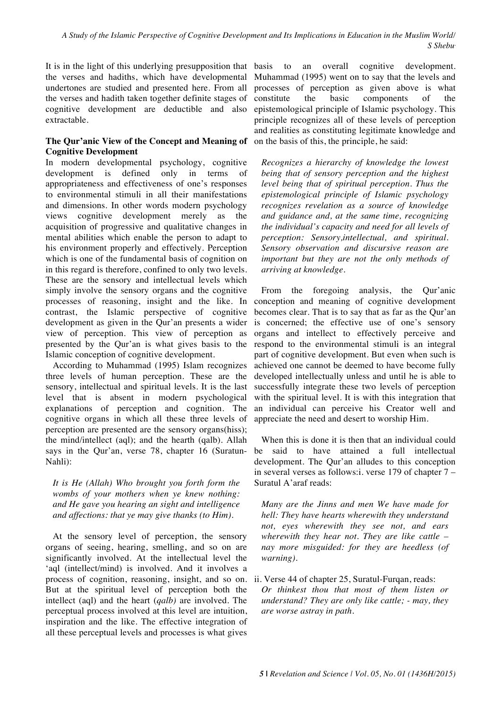It is in the light of this underlying presupposition that the verses and hadiths, which have developmental undertones are studied and presented here. From all the verses and hadith taken together definite stages of cognitive development are deductible and also extractable.

# **The Qur'anic View of the Concept and Meaning of Cognitive Development**

In modern developmental psychology, cognitive development is defined only in terms of appropriateness and effectiveness of one's responses to environmental stimuli in all their manifestations and dimensions. In other words modern psychology views cognitive development merely as the acquisition of progressive and qualitative changes in mental abilities which enable the person to adapt to his environment properly and effectively. Perception which is one of the fundamental basis of cognition on in this regard is therefore, confined to only two levels. These are the sensory and intellectual levels which simply involve the sensory organs and the cognitive processes of reasoning, insight and the like. In contrast, the Islamic perspective of cognitive development as given in the Qur'an presents a wider view of perception. This view of perception as presented by the Qur'an is what gives basis to the Islamic conception of cognitive development.

According to Muhammad (1995) Islam recognizes three levels of human perception. These are the sensory, intellectual and spiritual levels. It is the last level that is absent in modern psychological explanations of perception and cognition. The cognitive organs in which all these three levels of perception are presented are the sensory organs(hiss); the mind/intellect (aql); and the hearth (qalb). Allah says in the Qur'an, verse 78, chapter 16 (Suratun-Nahli):

*It is He (Allah) Who brought you forth form the wombs of your mothers when ye knew nothing: and He gave you hearing an sight and intelligence and affections: that ye may give thanks (to Him).*

At the sensory level of perception, the sensory organs of seeing, hearing, smelling, and so on are significantly involved. At the intellectual level the 'aql (intellect/mind) is involved. And it involves a process of cognition, reasoning, insight, and so on. But at the spiritual level of perception both the intellect (aql) and the heart (*qalb)* are involved. The perceptual process involved at this level are intuition, inspiration and the like. The effective integration of all these perceptual levels and processes is what gives

basis to an overall cognitive development. Muhammad (1995) went on to say that the levels and processes of perception as given above is what constitute the basic components of the epistemological principle of Islamic psychology. This principle recognizes all of these levels of perception and realities as constituting legitimate knowledge and on the basis of this, the principle, he said:

*Recognizes a hierarchy of knowledge the lowest being that of sensory perception and the highest level being that of spiritual perception. Thus the epistemological principle of Islamic psychology recognizes revelation as a source of knowledge and guidance and, at the same time, recognizing the individual's capacity and need for all levels of perception: Sensory,intellectual, and spiritual. Sensory observation and discursive reason are important but they are not the only methods of arriving at knowledge.*

From the foregoing analysis, the Qur'anic conception and meaning of cognitive development becomes clear. That is to say that as far as the Qur'an is concerned; the effective use of one's sensory organs and intellect to effectively perceive and respond to the environmental stimuli is an integral part of cognitive development. But even when such is achieved one cannot be deemed to have become fully developed intellectually unless and until he is able to successfully integrate these two levels of perception with the spiritual level. It is with this integration that an individual can perceive his Creator well and appreciate the need and desert to worship Him.

When this is done it is then that an individual could be said to have attained a full intellectual development. The Qur'an alludes to this conception in several verses as follows:i. verse 179 of chapter 7 – Suratul A'araf reads:

*Many are the Jinns and men We have made for hell: They have hearts wherewith they understand not, eyes wherewith they see not, and ears wherewith they hear not. They are like cattle – nay more misguided: for they are heedless (of warning).*

ii. Verse 44 of chapter 25, Suratul-Furqan, reads: *Or thinkest thou that most of them listen or understand? They are only like cattle; - may, they are worse astray in path.*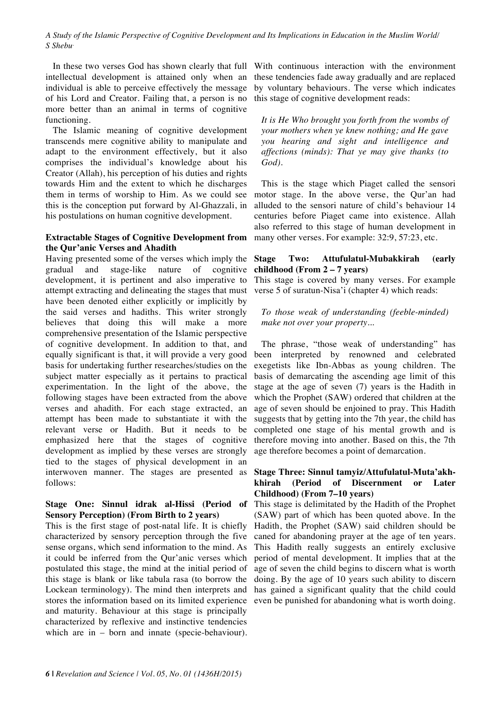In these two verses God has shown clearly that full intellectual development is attained only when an individual is able to perceive effectively the message of his Lord and Creator. Failing that, a person is no more better than an animal in terms of cognitive functioning.

The Islamic meaning of cognitive development transcends mere cognitive ability to manipulate and adapt to the environment effectively, but it also comprises the individual's knowledge about his Creator (Allah), his perception of his duties and rights towards Him and the extent to which he discharges them in terms of worship to Him. As we could see this is the conception put forward by Al-Ghazzali, in his postulations on human cognitive development.

#### **Extractable Stages of Cognitive Development from the Qur'anic Verses and Ahadith**

Having presented some of the verses which imply the gradual and stage-like nature of cognitive development, it is pertinent and also imperative to attempt extracting and delineating the stages that must have been denoted either explicitly or implicitly by the said verses and hadiths. This writer strongly believes that doing this will make a more comprehensive presentation of the Islamic perspective of cognitive development. In addition to that, and equally significant is that, it will provide a very good basis for undertaking further researches/studies on the subject matter especially as it pertains to practical experimentation. In the light of the above, the following stages have been extracted from the above verses and ahadith. For each stage extracted, an attempt has been made to substantiate it with the relevant verse or Hadith. But it needs to be emphasized here that the stages of cognitive development as implied by these verses are strongly tied to the stages of physical development in an interwoven manner. The stages are presented as follows:

### **Stage One: Sinnul idrak al-Hissi (Period of Sensory Perception) (From Birth to 2 years)**

This is the first stage of post-natal life. It is chiefly characterized by sensory perception through the five sense organs, which send information to the mind. As it could be inferred from the Qur'anic verses which postulated this stage, the mind at the initial period of this stage is blank or like tabula rasa (to borrow the Lockean terminology). The mind then interprets and stores the information based on its limited experience and maturity. Behaviour at this stage is principally characterized by reflexive and instinctive tendencies which are in – born and innate (specie-behaviour).

With continuous interaction with the environment these tendencies fade away gradually and are replaced by voluntary behaviours. The verse which indicates this stage of cognitive development reads:

*It is He Who brought you forth from the wombs of your mothers when ye knew nothing; and He gave you hearing and sight and intelligence and affections (minds): That ye may give thanks (to God).*

This is the stage which Piaget called the sensori motor stage. In the above verse, the Qur'an had alluded to the sensori nature of child's behaviour 14 centuries before Piaget came into existence. Allah also referred to this stage of human development in many other verses. For example: 32:9, 57:23, etc.

### **Stage Two: Attufulatul-Mubakkirah (early childhood (From 2 – 7 years)**

This stage is covered by many verses. For example verse 5 of suratun-Nisa'i (chapter 4) which reads:

# *To those weak of understanding (feeble-minded) make not over your property..*.

The phrase, "those weak of understanding" has been interpreted by renowned and celebrated exegetists like Ibn-Abbas as young children. The basis of demarcating the ascending age limit of this stage at the age of seven (7) years is the Hadith in which the Prophet (SAW) ordered that children at the age of seven should be enjoined to pray. This Hadith suggests that by getting into the 7th year, the child has completed one stage of his mental growth and is therefore moving into another. Based on this, the 7th age therefore becomes a point of demarcation.

#### **Stage Three: Sinnul tamyiz/Attufulatul-Muta'akhkhirah (Period of Discernment or Later Childhood) (From 7–10 years)**

This stage is delimitated by the Hadith of the Prophet (SAW) part of which has been quoted above. In the Hadith, the Prophet (SAW) said children should be caned for abandoning prayer at the age of ten years. This Hadith really suggests an entirely exclusive period of mental development. It implies that at the age of seven the child begins to discern what is worth doing. By the age of 10 years such ability to discern has gained a significant quality that the child could even be punished for abandoning what is worth doing.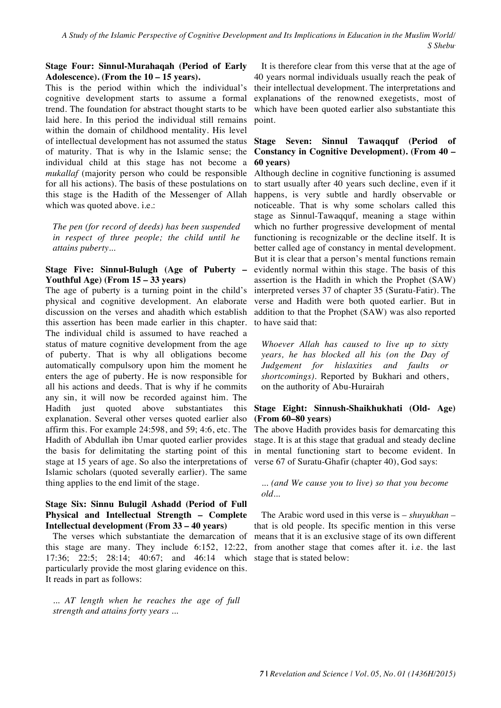#### **Stage Four: Sinnul-Murahaqah (Period of Early Adolescence). (From the 10 – 15 years).**

This is the period within which the individual's cognitive development starts to assume a formal trend. The foundation for abstract thought starts to be laid here. In this period the individual still remains within the domain of childhood mentality. His level of intellectual development has not assumed the status of maturity. That is why in the Islamic sense; the individual child at this stage has not become a *mukallaf* (majority person who could be responsible for all his actions). The basis of these postulations on this stage is the Hadith of the Messenger of Allah which was quoted above. i.e.:

*The pen (for record of deeds) has been suspended in respect of three people; the child until he attains puberty...*

# **Stage Five: Sinnul-Bulugh (Age of Puberty – Youthful Age) (From 15 – 33 years)**

The age of puberty is a turning point in the child's physical and cognitive development. An elaborate discussion on the verses and ahadith which establish this assertion has been made earlier in this chapter. The individual child is assumed to have reached a status of mature cognitive development from the age of puberty. That is why all obligations become automatically compulsory upon him the moment he enters the age of puberty. He is now responsible for all his actions and deeds. That is why if he commits any sin, it will now be recorded against him. The Hadith just quoted above substantiates this explanation. Several other verses quoted earlier also affirm this. For example 24:598, and 59; 4:6, etc. The Hadith of Abdullah ibn Umar quoted earlier provides the basis for delimitating the starting point of this stage at 15 years of age. So also the interpretations of Islamic scholars (quoted severally earlier). The same thing applies to the end limit of the stage.

# **Stage Six: Sinnu Bulugil Ashadd (Period of Full Physical and Intellectual Strength – Complete Intellectual development (From 33 – 40 years)**

The verses which substantiate the demarcation of this stage are many. They include 6:152, 12:22, 17:36; 22:5; 28:14; 40:67; and 46:14 which particularly provide the most glaring evidence on this. It reads in part as follows:

*... AT length when he reaches the age of full strength and attains forty years ...*

It is therefore clear from this verse that at the age of 40 years normal individuals usually reach the peak of their intellectual development. The interpretations and explanations of the renowned exegetists, most of which have been quoted earlier also substantiate this point.

# **Stage Seven: Sinnul Tawaqquf (Period of Constancy in Cognitive Development). (From 40 – 60 years)**

Although decline in cognitive functioning is assumed to start usually after 40 years such decline, even if it happens, is very subtle and hardly observable or noticeable. That is why some scholars called this stage as Sinnul-Tawaqquf, meaning a stage within which no further progressive development of mental functioning is recognizable or the decline itself. It is better called age of constancy in mental development. But it is clear that a person's mental functions remain evidently normal within this stage. The basis of this assertion is the Hadith in which the Prophet (SAW) interpreted verses 37 of chapter 35 (Suratu-Fatir). The verse and Hadith were both quoted earlier. But in addition to that the Prophet (SAW) was also reported to have said that:

*Whoever Allah has caused to live up to sixty years, he has blocked all his (on the Day of Judgement for hislaxities and faults or shortcomings)*. Reported by Bukhari and others, on the authority of Abu-Hurairah

#### **Stage Eight: Sinnush-Shaikhukhati (Old- Age) (From 60–80 years)**

The above Hadith provides basis for demarcating this stage. It is at this stage that gradual and steady decline in mental functioning start to become evident. In verse 67 of Suratu-Ghafir (chapter 40), God says:

#### *... (and We cause you to live) so that you become old...*

The Arabic word used in this verse is – *shuyukhan –* that is old people. Its specific mention in this verse means that it is an exclusive stage of its own different from another stage that comes after it. i.e. the last stage that is stated below: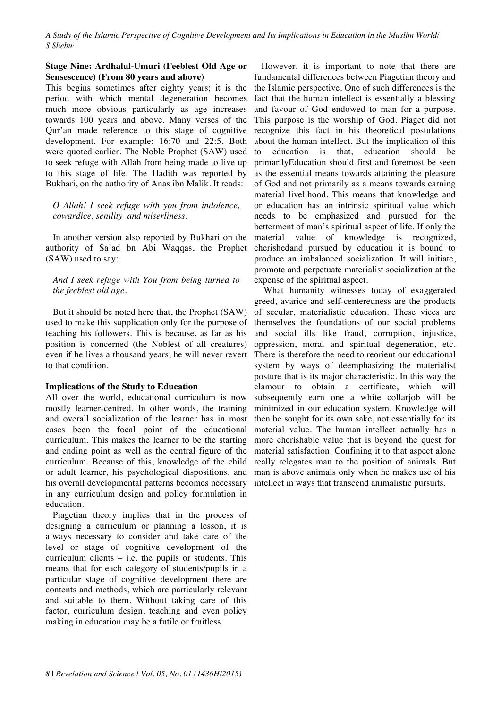#### **Stage Nine: Ardhalul-Umuri (Feeblest Old Age or Sensescence) (From 80 years and above)**

This begins sometimes after eighty years; it is the period with which mental degeneration becomes much more obvious particularly as age increases towards 100 years and above. Many verses of the Qur'an made reference to this stage of cognitive development. For example: 16:70 and 22:5. Both were quoted earlier. The Noble Prophet (SAW) used to seek refuge with Allah from being made to live up to this stage of life. The Hadith was reported by Bukhari, on the authority of Anas ibn Malik. It reads:

*O Allah! I seek refuge with you from indolence, cowardice, senility and miserliness.*

In another version also reported by Bukhari on the authority of Sa'ad bn Abi Waqqas, the Prophet (SAW) used to say:

*And I seek refuge with You from being turned to the feeblest old age.*

But it should be noted here that, the Prophet (SAW) used to make this supplication only for the purpose of teaching his followers. This is because, as far as his position is concerned (the Noblest of all creatures) even if he lives a thousand years, he will never revert to that condition.

#### **Implications of the Study to Education**

All over the world, educational curriculum is now mostly learner-centred. In other words, the training and overall socialization of the learner has in most cases been the focal point of the educational curriculum. This makes the learner to be the starting and ending point as well as the central figure of the curriculum. Because of this, knowledge of the child or adult learner, his psychological dispositions, and his overall developmental patterns becomes necessary in any curriculum design and policy formulation in education.

Piagetian theory implies that in the process of designing a curriculum or planning a lesson, it is always necessary to consider and take care of the level or stage of cognitive development of the curriculum clients – i.e. the pupils or students. This means that for each category of students/pupils in a particular stage of cognitive development there are contents and methods, which are particularly relevant and suitable to them. Without taking care of this factor, curriculum design, teaching and even policy making in education may be a futile or fruitless.

However, it is important to note that there are fundamental differences between Piagetian theory and the Islamic perspective. One of such differences is the fact that the human intellect is essentially a blessing and favour of God endowed to man for a purpose. This purpose is the worship of God. Piaget did not recognize this fact in his theoretical postulations about the human intellect. But the implication of this to education is that, education should be primarilyEducation should first and foremost be seen as the essential means towards attaining the pleasure of God and not primarily as a means towards earning material livelihood. This means that knowledge and or education has an intrinsic spiritual value which needs to be emphasized and pursued for the betterment of man's spiritual aspect of life. If only the material value of knowledge is recognized, cherishedand pursued by education it is bound to produce an imbalanced socialization. It will initiate, promote and perpetuate materialist socialization at the expense of the spiritual aspect.

What humanity witnesses today of exaggerated greed, avarice and self-centeredness are the products of secular, materialistic education. These vices are themselves the foundations of our social problems and social ills like fraud, corruption, injustice, oppression, moral and spiritual degeneration, etc. There is therefore the need to reorient our educational system by ways of deemphasizing the materialist posture that is its major characteristic. In this way the clamour to obtain a certificate, which will subsequently earn one a white collarjob will be minimized in our education system. Knowledge will then be sought for its own sake, not essentially for its material value. The human intellect actually has a more cherishable value that is beyond the quest for material satisfaction. Confining it to that aspect alone really relegates man to the position of animals. But man is above animals only when he makes use of his intellect in ways that transcend animalistic pursuits.